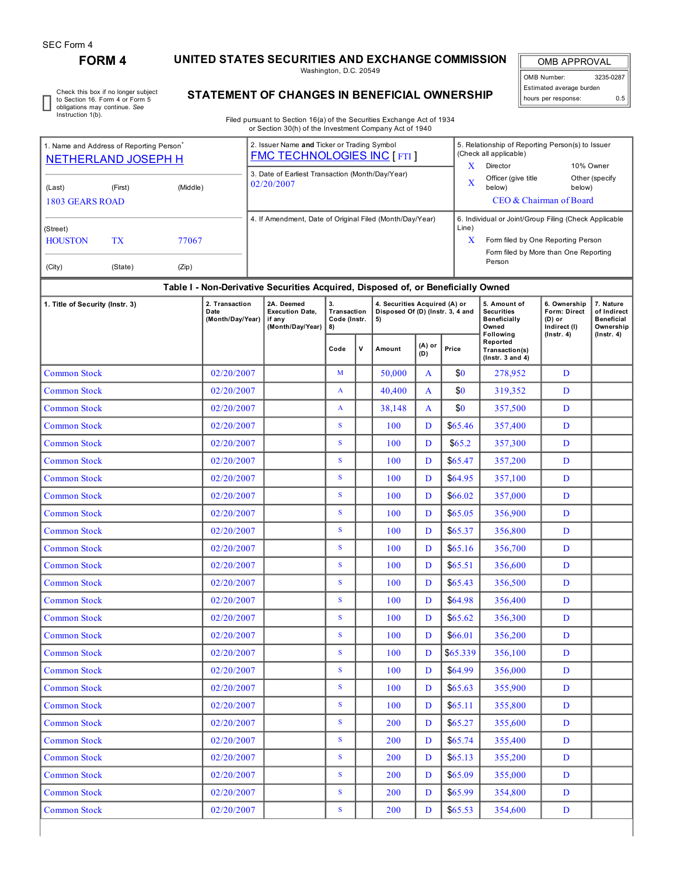# **FORM 4 UNITED STATES SECURITIES AND EXCHANGE COMMISSION**

Washington, D.C. 20549

OMB APPROVAL OMB Number: 3235-0287 Estimated average burden hours per response: 0.5

Check this box if no longer subject to Section 16. Form 4 or Form 5 obligations may continue. *See* Instruction 1(b).

## **STATEMENT OF CHANGES IN BENEFICIAL OWNERSHIP**

Filed pursuant to Section 16(a) of the Securities Exchange Act of 1934 or Section 30(h) of the Investment Company Act of 1940

| 1. Name and Address of Reporting Person<br><b>NETHERLAND JOSEPH H</b> |            |            |                                                          |  | 2. Issuer Name and Ticker or Trading Symbol<br><b>FMC TECHNOLOGIES INC [ FTI ]</b> |                                         |              |                                                                         |                                                       | 5. Relationship of Reporting Person(s) to Issuer<br>(Check all applicable) |                                                                   |                                                          |                                                            |  |  |
|-----------------------------------------------------------------------|------------|------------|----------------------------------------------------------|--|------------------------------------------------------------------------------------|-----------------------------------------|--------------|-------------------------------------------------------------------------|-------------------------------------------------------|----------------------------------------------------------------------------|-------------------------------------------------------------------|----------------------------------------------------------|------------------------------------------------------------|--|--|
|                                                                       |            |            |                                                          |  | 3. Date of Earliest Transaction (Month/Day/Year)                                   |                                         |              |                                                                         | $\mathbf X$                                           | Director                                                                   |                                                                   | 10% Owner                                                |                                                            |  |  |
| (Middle)<br>(First)<br>(Last)                                         |            |            |                                                          |  | 02/20/2007                                                                         |                                         |              |                                                                         | $\mathbf X$                                           | Officer (give title<br>below)<br>below)                                    |                                                                   | Other (specify                                           |                                                            |  |  |
| <b>1803 GEARS ROAD</b>                                                |            |            |                                                          |  |                                                                                    |                                         |              | CEO & Chairman of Board                                                 |                                                       |                                                                            |                                                                   |                                                          |                                                            |  |  |
|                                                                       |            |            | 4. If Amendment, Date of Original Filed (Month/Day/Year) |  |                                                                                    |                                         | Line)        |                                                                         | 6. Individual or Joint/Group Filing (Check Applicable |                                                                            |                                                                   |                                                          |                                                            |  |  |
| (Street)<br><b>HOUSTON</b><br>TX<br>77067                             |            |            |                                                          |  |                                                                                    |                                         |              |                                                                         | X                                                     |                                                                            | Form filed by One Reporting Person                                |                                                          |                                                            |  |  |
|                                                                       |            |            |                                                          |  |                                                                                    |                                         |              |                                                                         |                                                       | Form filed by More than One Reporting<br>Person                            |                                                                   |                                                          |                                                            |  |  |
| (Zip)<br>(City)<br>(State)                                            |            |            |                                                          |  |                                                                                    |                                         |              |                                                                         |                                                       |                                                                            |                                                                   |                                                          |                                                            |  |  |
|                                                                       |            |            |                                                          |  | Table I - Non-Derivative Securities Acquired, Disposed of, or Beneficially Owned   |                                         |              |                                                                         |                                                       |                                                                            |                                                                   |                                                          |                                                            |  |  |
| 1. Title of Security (Instr. 3)                                       |            |            | 2. Transaction<br>Date<br>(Month/Day/Year)               |  | 2A. Deemed<br><b>Execution Date,</b><br>if any<br>(Month/Day/Year)                 | 3.<br>Transaction<br>Code (Instr.<br>8) |              | 4. Securities Acquired (A) or<br>Disposed Of (D) (Instr. 3, 4 and<br>5) |                                                       |                                                                            | 5. Amount of<br><b>Securities</b><br><b>Beneficially</b><br>Owned | 6. Ownership<br>Form: Direct<br>$(D)$ or<br>Indirect (I) | 7. Nature<br>of Indirect<br><b>Beneficial</b><br>Ownership |  |  |
|                                                                       |            |            |                                                          |  |                                                                                    | Code                                    | $\mathsf{v}$ | Amount                                                                  | (A) or<br>(D)                                         | Price                                                                      | Following<br>Reported<br>Transaction(s)<br>$($ Instr. 3 and 4 $)$ | $($ lnstr. 4 $)$                                         | $($ Instr. 4 $)$                                           |  |  |
| <b>Common Stock</b>                                                   |            |            | 02/20/2007                                               |  |                                                                                    | M                                       |              | 50,000                                                                  | A                                                     | \$0                                                                        | 278,952                                                           | D                                                        |                                                            |  |  |
| <b>Common Stock</b>                                                   |            |            | 02/20/2007                                               |  |                                                                                    | A                                       |              | 40,400                                                                  | A                                                     | \$0                                                                        | 319,352                                                           | D                                                        |                                                            |  |  |
| <b>Common Stock</b>                                                   |            |            | 02/20/2007                                               |  |                                                                                    | A                                       |              | 38,148                                                                  | A                                                     | \$0                                                                        | 357,500                                                           | D                                                        |                                                            |  |  |
| <b>Common Stock</b>                                                   |            |            | 02/20/2007                                               |  |                                                                                    | S                                       |              | 100                                                                     | D                                                     | \$65.46                                                                    | 357,400                                                           | D                                                        |                                                            |  |  |
| <b>Common Stock</b>                                                   |            |            | 02/20/2007                                               |  |                                                                                    | S                                       |              | 100                                                                     | D                                                     | \$65.2\$                                                                   | 357,300                                                           | D                                                        |                                                            |  |  |
| <b>Common Stock</b>                                                   |            | 02/20/2007 |                                                          |  | S                                                                                  |                                         | 100          | D                                                                       | \$65.47                                               | 357,200                                                                    | D                                                                 |                                                          |                                                            |  |  |
| Common Stock                                                          |            | 02/20/2007 |                                                          |  | S                                                                                  |                                         | 100          | D                                                                       | \$64.95                                               | 357,100                                                                    | D                                                                 |                                                          |                                                            |  |  |
| <b>Common Stock</b>                                                   |            | 02/20/2007 |                                                          |  | S                                                                                  |                                         | 100          | D                                                                       | \$66.02                                               | 357,000                                                                    | D                                                                 |                                                          |                                                            |  |  |
| <b>Common Stock</b>                                                   |            | 02/20/2007 |                                                          |  | S                                                                                  |                                         | 100          | D                                                                       | \$65.05                                               | 356,900                                                                    | D                                                                 |                                                          |                                                            |  |  |
| Common Stock                                                          |            | 02/20/2007 |                                                          |  | S                                                                                  |                                         | 100          | D                                                                       | \$65.37                                               | 356,800                                                                    | D                                                                 |                                                          |                                                            |  |  |
| <b>Common Stock</b>                                                   |            |            | 02/20/2007                                               |  |                                                                                    | S                                       |              | 100                                                                     | D                                                     | \$65.16                                                                    | 356,700                                                           | D                                                        |                                                            |  |  |
| <b>Common Stock</b>                                                   |            |            | 02/20/2007                                               |  |                                                                                    | S                                       |              | 100                                                                     | D                                                     | \$65.51                                                                    | 356,600                                                           | D                                                        |                                                            |  |  |
| <b>Common Stock</b>                                                   |            |            | 02/20/2007                                               |  |                                                                                    | S                                       |              | 100                                                                     | D                                                     | \$65.43                                                                    | 356,500                                                           | D                                                        |                                                            |  |  |
| <b>Common Stock</b>                                                   |            |            | 02/20/2007                                               |  |                                                                                    | S                                       |              | 100                                                                     | D                                                     | \$64.98                                                                    | 356,400                                                           | D                                                        |                                                            |  |  |
| Common Stock                                                          |            |            | 02/20/2007                                               |  |                                                                                    | S                                       |              | 100                                                                     | D                                                     | \$65.62                                                                    | 356,300                                                           | D                                                        |                                                            |  |  |
| <b>Common Stock</b>                                                   |            |            | 02/20/2007                                               |  |                                                                                    |                                         |              | 100                                                                     | D                                                     | \$66.01                                                                    | 356,200                                                           | D                                                        |                                                            |  |  |
| <b>Common Stock</b>                                                   |            |            | 02/20/2007                                               |  |                                                                                    | S                                       |              | 100                                                                     | D                                                     | \$65.339                                                                   | 356,100                                                           | D                                                        |                                                            |  |  |
| <b>Common Stock</b>                                                   |            |            | 02/20/2007                                               |  |                                                                                    | S                                       |              | 100                                                                     | D                                                     | \$64.99                                                                    | 356,000                                                           | D                                                        |                                                            |  |  |
| <b>Common Stock</b>                                                   |            |            | 02/20/2007                                               |  |                                                                                    | $\mathbf S$                             |              | 100                                                                     | D                                                     | \$65.63                                                                    | 355,900                                                           | D                                                        |                                                            |  |  |
| <b>Common Stock</b>                                                   | 02/20/2007 |            |                                                          |  | S                                                                                  |                                         | 100          | D                                                                       | \$65.11                                               | 355,800                                                                    | D                                                                 |                                                          |                                                            |  |  |
| <b>Common Stock</b>                                                   |            |            | 02/20/2007                                               |  |                                                                                    | S                                       |              | 200                                                                     | D                                                     | \$65.27                                                                    | 355,600                                                           | D                                                        |                                                            |  |  |
| <b>Common Stock</b>                                                   |            |            | 02/20/2007                                               |  |                                                                                    | ${\bf S}$                               |              | 200                                                                     | D                                                     | \$65.74                                                                    | 355,400                                                           | D                                                        |                                                            |  |  |
| <b>Common Stock</b>                                                   |            |            | 02/20/2007                                               |  |                                                                                    | S                                       |              | 200                                                                     | D                                                     | \$65.13                                                                    | 355,200                                                           | D                                                        |                                                            |  |  |
| <b>Common Stock</b>                                                   |            |            | 02/20/2007                                               |  |                                                                                    | S                                       |              | 200                                                                     | D                                                     | \$65.09                                                                    | 355,000                                                           | D                                                        |                                                            |  |  |
| <b>Common Stock</b>                                                   |            |            | 02/20/2007                                               |  |                                                                                    | ${\bf S}$                               |              | 200                                                                     | D                                                     | \$65.99                                                                    | 354,800                                                           | ${\bf D}$                                                |                                                            |  |  |

Common Stock 02/20/2007 S 200 D \$65.53 354,600 D